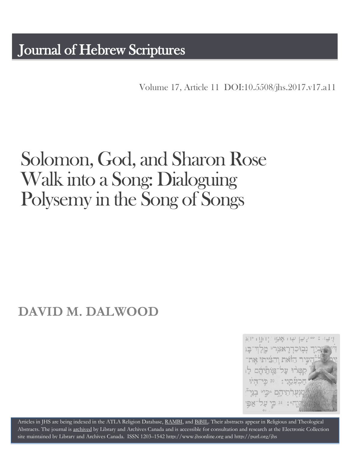Volume 17, Article 11 [DOI:10.5508/jhs.2017.v17.a11](http://dx.doi.org/10.5508/jhs.2017.v17.a11)

# Solomon, God, and Sharon Rose Walk into a Song: Dialoguing Polysemy in the Song of Songs

## **DAVID M. DALWOOD**



Articles in JHS are being indexed in the ATLA Religion Database, [RAMBI,](http://jnul.huji.ac.il/rambi/) an[d BiBIL.](http://bibil.net/) Their abstracts appear in Religious and Theological Abstracts. The journal is [archived](http://epe.lac-bac.gc.ca/100/201/300/journal_hebrew/index.html) by Library and Archives Canada and is accessible for consultation and research at the Electronic Collection site maintained b[y Library and Archives Canada.](http://collectionscanada.ca/electroniccollection/003008-200-e.html) ISSN 1203–154[2 http://www.jhsonline.org](http://www.jhsonline.org/) and<http://purl.org/jhs>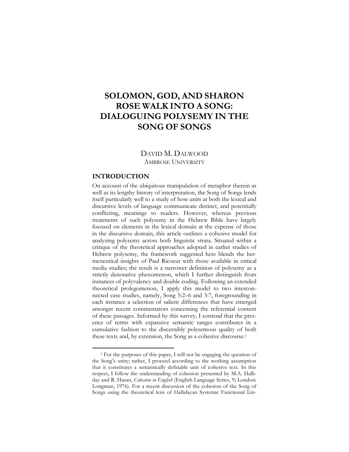### **SOLOMON, GOD, AND SHARON ROSE WALK INTO A SONG: DIALOGUING POLYSEMY IN THE SONG OF SONGS**

DAVID M. DALWOOD AMBROSE UNIVERSITY

#### **INTRODUCTION**

 $\overline{a}$ 

On account of the ubiquitous manipulation of metaphor therein as well as its lengthy history of interpretation, the Song of Songs lends itself particularly well to a study of how units at both the lexical and discursive levels of language communicate distinct, and potentially conflicting, meanings to readers. However, whereas previous treatments of such polysemy in the Hebrew Bible have largely focused on elements in the lexical domain at the expense of those in the discursive domain, this article outlines a cohesive model for analyzing polysemy across both linguistic strata. Situated within a critique of the theoretical approaches adopted in earlier studies of Hebrew polysemy, the framework suggested here blends the hermeneutical insights of Paul Ricoeur with those available in critical media studies; the result is a narrower definition of polysemy as a strictly denotative phenomenon, which I further distinguish from instances of polyvalency and double coding. Following an extended theoretical prolegomenon, I apply this model to two interconnected case studies, namely, Song 5:2–6 and 5:7, foregrounding in each instance a selection of salient differences that have emerged amongst recent commentators concerning the referential content of these passages. Informed by this survey, I contend that the presence of terms with expansive semantic ranges contributes in a cumulative fashion to the discernibly polysemous quality of both these texts and, by extension, the Song as a cohesive discourse.<sup>1</sup>

<sup>1</sup> For the purposes of this paper, I will not be engaging the question of the Song's unity; rather, I proceed according to the working assumption that it constitutes a semantically definable unit of cohesive text. In this respect, I follow the understanding of cohesion presented by M.A. Halliday and R. Hasan, *Cohesion in English* (English Language Series, 9; London: Longman, 1976). For a recent discussion of the cohesion of the Song of Songs using the theoretical lens of Hallidayan Systemic Functional Lin-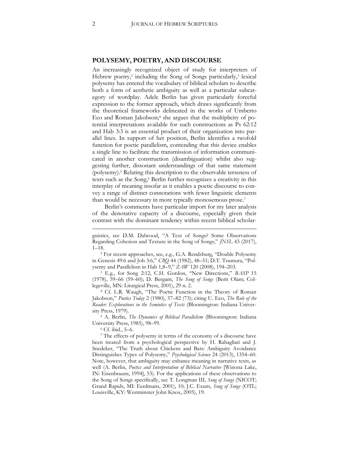#### **POLYSEMY, POETRY, AND DISCOURSE**

An increasingly recognized object of study for interpreters of Hebrew poetry,<sup>2</sup> including the Song of Songs particularly,<sup>3</sup> lexical polysemy has entered the vocabulary of biblical scholars to describe both a form of aesthetic ambiguity as well as a particular subcategory of wordplay. Adele Berlin has given particularly forceful expression to the former approach, which draws significantly from the theoretical frameworks delineated in the works of Umberto Eco and Roman Jakobson;<sup>4</sup> she argues that the multiplicity of potential interpretations available for such constructions as Ps 62:12 and Hab 3:3 is an essential product of their organization into parallel lines. In support of her position, Berlin identifies a twofold function for poetic parallelism, contending that this device enables a single line to facilitate the transmission of information communicated in another construction (disambiguation) whilst also suggesting further, dissonant understandings of that same statement (polysemy).<sup>5</sup> Relating this description to the observable terseness of texts such as the Song,<sup>6</sup> Berlin further recognizes a creativity in this interplay of meaning insofar as it enables a poetic discourse to convey a range of distinct connotations with fewer linguistic elements than would be necessary in more typically monosemous prose.<sup>7</sup>

Berlin's comments have particular import for my later analysis of the denotative capacity of a discourse, especially given their contrast with the dominant tendency within recent biblical scholar-

<sup>2</sup> For recent approaches, see, e.g., G.A. Rendsburg, "Double Polysemy in Genesis 49:6 and Job 3:6," *CBQ* 44 (1982), 48–51; D.T. Tsumura, "Polysemy and Parallelism in Hab 1,8–9," *ZAW* 120 (2008), 194–203.

<sup>3</sup> E.g., for Song 2:12, C.H. Gordon, "New Directions," *BASP* 15 (1978), 59–66 (59–60); D. Bergant, *The Song of Songs* (Berit Olam; Collegeville, MN: Liturgical Press, 2001), 29 n. 2.

<sup>4</sup> Cf. L.R. Waugh, "The Poetic Function in the Theory of Roman Jakobson," *Poetics Today* 2 (1980), 57–82 (73); citing U. Eco, *The Role of the Reader: Explorations in the Semiotics of Texts* (Bloomington: Indiana University Press, 1979).

<sup>5</sup> A. Berlin, *The Dynamics of Biblical Parallelism* (Bloomington: Indiana University Press, 1985), 98–99.

<sup>6</sup> Cf. ibid., 5–6.

guistics, see D.M. Dalwood, "A Text of Songs? Some Observations Regarding Cohesion and Texture in the Song of Songs," *JNSL* 43 (2017), 1–18.

<sup>7</sup> The effects of polysemy in terms of the economy of a discourse have been treated from a psychological perspective by H. Rabagliati and J. Snedeker, "The Truth about Chickens and Bats: Ambiguity Avoidance Distinguishes Types of Polysemy," *Psychological Science* 24 (2013), 1354–60. Note, however, that ambiguity may enhance meaning in narrative texts, as well (A. Berlin, *Poetics and Interpretation of Biblical Narrative* [Winona Lake, IN: Eisenbrauns, 1994], 53). For the applications of these observations to the Song of Songs specifically, see T. Longman III, *Song of Songs* (NICOT; Grand Rapids, MI: Eerdmans, 2001), 10; J.C. Exum, *Song of Songs* (OTL; Louisville, KY: Westminster John Knox, 2005), 19.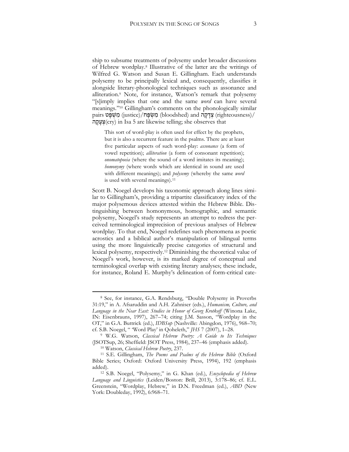ship to subsume treatments of polysemy under broader discussions of Hebrew wordplay.<sup>8</sup> Illustrative of the latter are the writings of Wilfred G. Watson and Susan E. Gillingham. Each understands polysemy to be principally lexical and, consequently, classifies it alongside literary-phonological techniques such as assonance and alliteration.<sup>9</sup> Note, for instance, Watson's remark that polysemy "[s]imply implies that one and the same *word* can have several meanings."<sup>10</sup> Gillingham's comments on the phonologically similar pairs (iustice)/ מְשִׂפָּח (bloodshed) and) מְאֵפָּט (righteousness)/ ה ָק ָע ְצ)cry) in Isa 5 are likewise telling; she observes that

This sort of word-play is often used for effect by the prophets, but it is also a recurrent feature in the psalms. There are at least five particular aspects of such word-play: *assonance* (a form of vowel repetition); *alliteration* (a form of consonant repetition); *onomatopoeia* (where the sound of a word imitates its meaning); *homonymy* (where words which are identical in sound are used with different meanings); and *polysemy* (whereby the same *word* is used with several meanings).<sup>11</sup>

Scott B. Noegel develops his taxonomic approach along lines similar to Gillingham's, providing a tripartite classificatory index of the major polysemous devices attested within the Hebrew Bible. Distinguishing between homonymous, homographic, and semantic polysemy, Noegel's study represents an attempt to redress the perceived terminological imprecision of previous analyses of Hebrew wordplay. To that end, Noegel redefines such phenomena as poetic acrostics and a biblical author's manipulation of bilingual terms using the more linguistically precise categories of structural and lexical polysemy, respectively.<sup>12</sup> Diminishing the theoretical value of Noegel's work, however, is its marked degree of conceptual and terminological overlap with existing literary analyses; these include, for instance, Roland E. Murphy's delineation of form-critical cate-

<sup>8</sup> See, for instance, G.A. Rendsburg, "Double Polysemy in Proverbs 31:19," in A. Afsaruddin and A.H. Zahniser (eds.), *Humanism, Culture, and Language in the Near East: Studies in Honor of Georg Krotkoff* (Winona Lake, IN: Eisenbrauns, 1997), 267–74; citing J.M. Sasson, "Wordplay in the OT," in G.A. Buttrick (ed.), *IDBSup* (Nashville: Abingdon, 1976), 968–70; cf. S.B. Noegel, " 'Word Play' in Qoheleth," *JHS* 7 (2007), 1–28.

<sup>9</sup> W.G. Watson, *Classical Hebrew Poetry: A Guide to Its Techniques* (JSOTSup, 26; Sheffield: JSOT Press, 1984), 237–46 (emphasis added).

<sup>10</sup> Watson, *Classical Hebrew Poetry*, 237.

<sup>11</sup> S.E. Gillingham, *The Poems and Psalms of the Hebrew Bible* (Oxford Bible Series; Oxford: Oxford University Press, 1994), 192 (emphasis added).

<sup>12</sup> S.B. Noegel, "Polysemy," in G. Khan (ed.), *Encyclopedia of Hebrew Language and Linguistics* (Leiden/Boston: Brill, 2013), 3:178–86; cf. E.L. Greenstein, "Wordplay, Hebrew," in D.N. Freedman (ed.), *ABD* (New York: Doubleday, 1992), 6:968–71.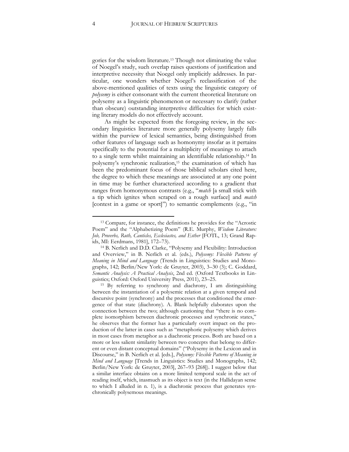gories for the wisdom literature.<sup>13</sup> Though not eliminating the value of Noegel's study, such overlap raises questions of justification and interpretive necessity that Noegel only implicitly addresses. In particular, one wonders whether Noegel's reclassification of the above-mentioned qualities of texts using the linguistic category of *polysemy* is either consonant with the current theoretical literature on polysemy as a linguistic phenomenon or necessary to clarify (rather than obscure) outstanding interpretive difficulties for which existing literary models do not effectively account.

As might be expected from the foregoing review, in the secondary linguistics literature more generally polysemy largely falls within the purview of lexical semantics, being distinguished from other features of language such as homonymy insofar as it pertains specifically to the potential for a multiplicity of meanings to attach to a single term whilst maintaining an identifiable relationship.<sup>14</sup> In polysemy's synchronic realization,<sup>15</sup> the examination of which has been the predominant focus of those biblical scholars cited here, the degree to which these meanings are associated at any one point in time may be further characterized according to a gradient that ranges from homonymous contrasts (e.g., "*match* [a small stick with a tip which ignites when scraped on a rough surface] and *match* [contest in a game or sport]") to semantic complements (e.g., "in

<sup>13</sup> Compare, for instance, the definitions he provides for the "Acrostic Poem" and the "Alphabetizing Poem" (R.E. Murphy, *Wisdom Literature: Job, Proverbs, Ruth, Canticles, Ecclesiastes, and Esther* [FOTL, 13; Grand Rapids, MI: Eerdmans, 1981], 172–73).

<sup>14</sup> B. Nerlich and D.D. Clarke, "Polysemy and Flexibility: Introduction and Overview," in B. Nerlich et al. (eds.), *Polysemy: Flexible Patterns of Meaning in Mind and Language* (Trends in Linguistics: Studies and Monographs, 142; Berlin/New York: de Gruyter, 2003), 3–30 (3); C. Goddard, *Semantic Analysis: A Practical Analysis*, 2nd ed. (Oxford Textbooks in Linguistics; Oxford: Oxford University Press, 2011), 23–25.

<sup>15</sup> By referring to synchrony and diachrony, I am distinguishing between the instantiation of a polysemic relation at a given temporal and discursive point (synchrony) and the processes that conditioned the emergence of that state (diachrony). A. Blank helpfully elaborates upon the connection between the two; although cautioning that "there is no complete isomorphism between diachronic processes and synchronic states," he observes that the former has a particularly overt impact on the production of the latter in cases such as "metaphoric polysemy which derives in most cases from metaphor as a diachronic process. Both are based on a more or less salient similarity between two concepts that belong to different or even distant conceptual domains" ("Polysemy in the Lexicon and in Discourse," in B. Nerlich et al. [eds.], *Polysemy: Flexible Patterns of Meaning in Mind and Language* [Trends in Linguistics: Studies and Monographs, 142; Berlin/New York: de Gruyter, 2003], 267–93 [268]). I suggest below that a similar interface obtains on a more limited temporal scale in the act of reading itself, which, inasmuch as its object is text (in the Hallidayan sense to which I alluded in n. 1), is a diachronic process that generates synchronically polysemous meanings.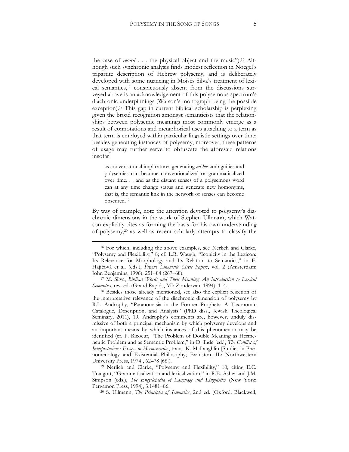the case of *record* . . . the physical object and the music").<sup>16</sup> Although such synchronic analysis finds modest reflection in Noegel's tripartite description of Hebrew polysemy, and is deliberately developed with some nuancing in Moisés Silva's treatment of lexical semantics,<sup>17</sup> conspicuously absent from the discussions surveyed above is an acknowledgement of this polysemous spectrum's diachronic underpinnings (Watson's monograph being the possible exception). <sup>18</sup> This gap in current biblical scholarship is perplexing given the broad recognition amongst semanticists that the relationships between polysemic meanings most commonly emerge as a result of connotations and metaphorical uses attaching to a term as that term is employed within particular linguistic settings over time; besides generating instances of polysemy, moreover, these patterns of usage may further serve to obfuscate the aforesaid relations insofar

as conversational implicatures generating *ad hoc* ambiguities and polysemies can become conventionalized or grammaticalized over time. . . and as the distant senses of a polysemous word can at any time change status and generate new homonyms, that is, the semantic link in the network of senses can become obscured.<sup>19</sup>

By way of example, note the attention devoted to polysemy's diachronic dimensions in the work of Stephen Ullmann, which Watson explicitly cites as forming the basis for his own understanding of polysemy,<sup>20</sup> as well as recent scholarly attempts to classify the

<sup>16</sup> For which, including the above examples, see Nerlich and Clarke, "Polysemy and Flexibility," 8; cf. L.R. Waugh, "Iconicity in the Lexicon: Its Relevance for Morphology and Its Relation to Semantics," in E. Hajičová et al. (eds.), *Prague Linguistic Circle Papers*, vol. 2 (Amsterdam: John Benjamins, 1996), 251–84 (267–68).

<sup>17</sup> M. Silva, *Biblical Words and Their Meaning: An Introduction to Lexical Semantics*, rev. ed. (Grand Rapids, MI: Zondervan, 1994), 114.

<sup>18</sup> Besides those already mentioned, see also the explicit rejection of the interpretative relevance of the diachronic dimension of polysemy by R.L. Androphy, "Paranomasia in the Former Prophets: A Taxonomic Catalogue, Description, and Analysis" (PhD diss., Jewish Theological Seminary, 2011), 19. Androphy's comments are, however, unduly dismissive of both a principal mechanism by which polysemy develops and an important means by which instances of this phenomenon may be identified (cf. P. Ricoeur, "The Problem of Double Meaning as Hermeneutic Problem and as Semantic Problem," in D. Ihde [ed.], *The Conflict of Interpretations: Essays in Hermeneutics*, trans. K. McLaughlin [Studies in Phenomenology and Existential Philosophy; Evanston, IL: Northwestern University Press, 1974], 62–78 [68]).

<sup>19</sup> Nerlich and Clarke, "Polysemy and Flexibility," 10; citing E.C. Traugott, "Grammaticalization and lexicalization," in R.E. Asher and J.M. Simpson (eds.), *The Encyclopedia of Language and Linguistics* (New York: Pergamon Press, 1994), 3:1481–86.

<sup>20</sup> S. Ullmann, *The Principles of Semantics*, 2nd ed. (Oxford: Blackwell,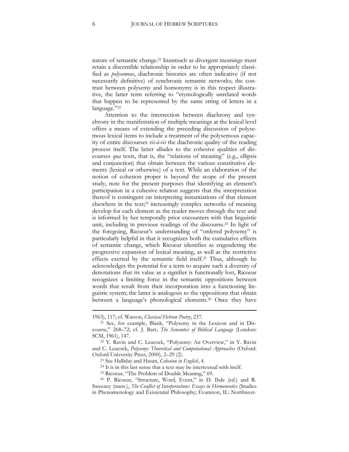nature of semantic change.<sup>21</sup> Inasmuch as divergent meanings must retain a discernible relationship in order to be appropriately classified as *polysemous*, diachronic histories are often indicative (if not necessarily definitive) of synchronic semantic networks; the contrast between polysemy and homonymy is in this respect illustrative, the latter term referring to "etymologically unrelated words that happen to be represented by the same string of letters in a language."22

Attention to the intersection between diachrony and synchrony in the manifestation of multiple meanings at the lexical level offers a means of extending the preceding discussion of polysemous lexical items to include a treatment of the polysemous capacity of entire discourses *vis-à-vis* the diachronic quality of the reading process itself. The latter alludes to the cohesive qualities of discourses *qua* texts, that is, the "relations of meaning" (e.g., ellipsis and conjunction) that obtain between the various constitutive elements (lexical or otherwise) of a text. While an elaboration of the notion of cohesion proper is beyond the scope of the present study, note for the present purposes that identifying an element's participation in a cohesive relation suggests that the interpretation thereof is contingent on interpreting instantiations of that element elsewhere in the text;<sup>23</sup> increasingly complex networks of meaning develop for each element as the reader moves through the text and is informed by her temporally prior encounters with that linguistic unit, including in previous readings of the discourse.<sup>24</sup> In light of the foregoing, Ricoeur's understanding of "ordered polysemy" is particularly helpful in that it recognizes both the cumulative effects of semantic change, which Ricoeur identifies as engendering the progressive expansion of lexical meaning, as well as the restrictive effects exerted by the semantic field itself.<sup>25</sup> Thus, although he acknowledges the potential for a term to acquire such a diversity of denotations that its value as a signifier is functionally lost, Ricoeur recognizes a limiting force in the semantic oppositions between words that result from their incorporation into a functioning linguistic system; the latter is analogous to the oppositions that obtain between a language's phonological elements.<sup>26</sup> Once they have

<sup>1963), 117;</sup> cf. Watson, *Classical Hebrew Poetry*, 237.

<sup>21</sup> See, for example, Blank, "Polysemy in the Lexicon and in Discourse," 268–72; cf. J. Barr, *The Semantics of Biblical Language* (London: SCM, 1961), 147.

<sup>22</sup> Y. Ravin and C. Leacock, "Polysemy: An Overview," in Y. Ravin and C. Leacock, *Polysemy: Theoretical and Computational Approaches* (Oxford: Oxford University Press, 2000), 2–29 (2).

<sup>23</sup> See Halliday and Hasan, *Cohesion in English*, 4.

<sup>24</sup> It is in this last sense that a text may be intertextual with itself.

<sup>25</sup> Ricoeur, "The Problem of Double Meaning," 69.

<sup>26</sup> P. Ricoeur, "Structure, Word, Event," in D. Ihde (ed.) and R. Sweeney (trans.), *The Conflict of Interpretations: Essays in Hermeneutics* (Studies in Phenomenology and Existential Philosophy; Evanston, IL: Northwest-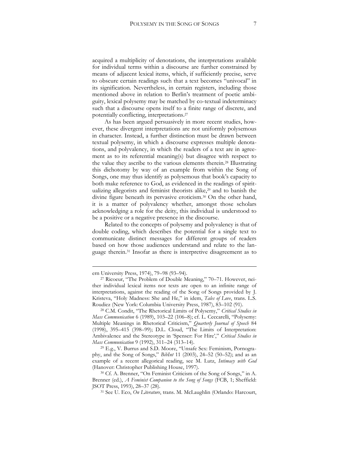acquired a multiplicity of denotations, the interpretations available for individual terms within a discourse are further constrained by means of adjacent lexical items, which, if sufficiently precise, serve to obscure certain readings such that a text becomes "univocal" in its signification. Nevertheless, in certain registers, including those mentioned above in relation to Berlin's treatment of poetic ambiguity, lexical polysemy may be matched by co-textual indeterminacy such that a discourse opens itself to a finite range of discrete, and potentially conflicting, interpretations.<sup>27</sup>

As has been argued persuasively in more recent studies, however, these divergent interpretations are not uniformly polysemous in character. Instead, a further distinction must be drawn between textual polysemy, in which a discourse expresses multiple denotations, and polyvalency, in which the readers of a text are in agreement as to its referential meaning(s) but disagree with respect to the value they ascribe to the various elements therein.<sup>28</sup> Illustrating this dichotomy by way of an example from within the Song of Songs, one may thus identify as polysemous that book's capacity to both make reference to God, as evidenced in the readings of spiritualizing allegorists and feminist theorists alike,<sup>29</sup> and to banish the divine figure beneath its pervasive eroticism.<sup>30</sup> On the other hand, it is a matter of polyvalency whether, amongst those scholars acknowledging a role for the deity, this individual is understood to be a positive or a negative presence in the discourse.

Related to the concepts of polysemy and polyvalency is that of double coding, which describes the potential for a single text to communicate distinct messages for different groups of readers based on how those audiences understand and relate to the language therein.<sup>31</sup> Insofar as there is interpretive disagreement as to

ern University Press, 1974), 79–98 (93–94).

<sup>27</sup> Ricoeur, "The Problem of Double Meaning," 70–71. However, neither individual lexical items nor texts are open to an infinite range of interpretations, against the reading of the Song of Songs provided by J. Kristeva, "Holy Madness: She and He," in idem, *Tales of Love*, trans. L.S. Roudiez (New York: Columbia University Press, 1987), 83–102 (91).

<sup>28</sup> C.M. Condit, "The Rhetorical Limits of Polysemy," *Critical Studies in Mass Communication* 6 (1989), 103–22 (106–8); cf. L. Ceccarelli, "Polysemy: Multiple Meanings in Rhetorical Criticism," *Quarterly Journal of Speech* 84 (1998), 395–415 (398–99); D.L. Cloud, "The Limits of Interpretation: Ambivalence and the Stereotype in 'Spenser: For Hire'," *Critical Studies in Mass Communication* 9 (1992), 311–24 (313–14).

<sup>29</sup> E.g., V. Burrus and S.D. Moore, "Unsafe Sex: Feminism, Pornography, and the Song of Songs," *BibInt* 11 (2003), 24–52 (50–52); and as an example of a recent allegorical reading, see M. Lutz, *Intimacy with God* (Hanover: Christopher Publishing House, 1997).

<sup>30</sup> Cf. A. Brenner, "On Feminist Criticism of the Song of Songs," in A. Brenner (ed.), *A Feminist Companion to the Song of Songs* (FCB, 1; Sheffield: JSOT Press, 1993), 28–37 (28).

<sup>31</sup> See U. Eco, *On Literature*, trans. M. McLaughlin (Orlando: Harcourt,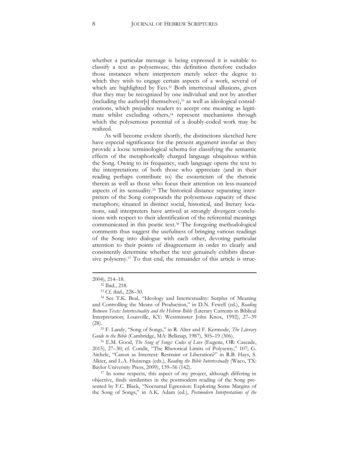whether a particular message is being expressed it is suitable to classify a text as polysemous; this definition therefore excludes those instances where interpreters merely select the degree to which they wish to engage certain aspects of a work, several of which are highlighted by Eco.<sup>32</sup> Both intertextual allusions, given that they may be recognized by one individual and not by another (including the author[s] themselves),<sup>33</sup> as well as ideological considerations, which prejudice readers to accept one meaning as legitimate whilst excluding others,<sup>34</sup> represent mechanisms through which the polysemous potential of a doubly-coded work may be realized.

As will become evident shortly, the distinctions sketched here have especial significance for the present argument insofar as they provide a loose terminological schema for classifying the semantic effects of the metaphorically charged language ubiquitous within the Song. Owing to its frequency, such language opens the text to the interpretations of both those who appreciate (and in their reading perhaps contribute to) the esotericism of the rhetoric therein as well as those who focus their attention on less-nuanced aspects of its sensuality.<sup>35</sup> The historical distance separating interpreters of the Song compounds the polysemous capacity of these metaphors; situated in distinct social, historical, and literary locations, said interpreters have arrived at strongly divergent conclusions with respect to their identification of the referential meanings communicated in this poetic text.<sup>36</sup> The foregoing methodological comments thus suggest the usefulness of bringing various readings of the Song into dialogue with each other, devoting particular attention to their points of disagreement in order to clearly and consistently determine whether the text genuinely exhibits discursive polysemy.<sup>37</sup> To that end, the remainder of this article is struc-

<sup>2004), 214</sup>–18.

<sup>32</sup> Ibid., 218.

<sup>33</sup> Cf. ibid., 228–30.

<sup>34</sup> See T.K. Beal, "Ideology and Intertextuality: Surplus of Meaning and Controlling the Means of Production," in D.N. Fewell (ed.), *Reading Between Texts: Intertextuality and the Hebrew Bible* (Literary Currents in Biblical Interpretation; Louisville, KY: Westminster John Knox, 1992), 27–39 (28).

<sup>35</sup> F. Landy, "Song of Songs," in R. Alter and F. Kermode, *The Literary Guide to the Bible* (Cambridge, MA: Belknap, 1987), 305–19 (306).

<sup>36</sup> E.M. Good, *The Song of Songs: Codes of Love* (Eugene, OR: Cascade, 2015), 27–30; cf. Condit, "The Rhetorical Limits of Polysemy," 107; G. Aichele, "Canon as Intertext: Restraint or Liberation?" in R.B. Hays, S. Alkier, and L.A. Huizenga (eds.), *Reading the Bible Intertextually* (Waco, TX: Baylor University Press, 2009), 139–56 (142).

<sup>&</sup>lt;sup>37</sup> In some respects, this aspect of my project, although differing in objective, finds similarities in the postmodern reading of the Song presented by F.C. Black, "Nocturnal Egression: Exploring Some Margins of the Song of Songs," in A.K. Adam (ed.), *Postmodern Interpretations of the*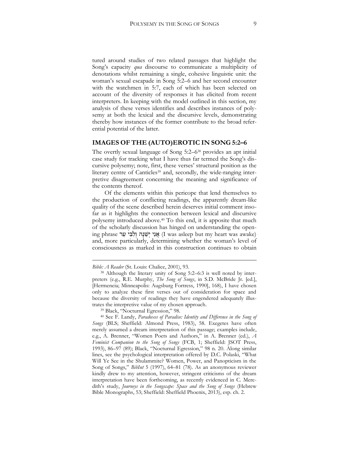tured around studies of two related passages that highlight the Song's capacity *qua* discourse to communicate a multiplicity of denotations whilst remaining a single, cohesive linguistic unit: the woman's sexual escapade in Song 5:2–6 and her second encounter with the watchmen in 5:7, each of which has been selected on account of the diversity of responses it has elicited from recent interpreters. In keeping with the model outlined in this section, my analysis of these verses identifies and describes instances of polysemy at both the lexical and the discursive levels, demonstrating thereby how instances of the former contribute to the broad referential potential of the latter.

#### **IMAGES OF THE (AUTO)EROTIC IN SONG 5:2–6**

The overtly sexual language of Song 5:2–6<sup>38</sup> provides an apt initial case study for tracking what I have thus far termed the Song's discursive polysemy; note, first, these verses' structural position as the literary centre of Canticles<sup>39</sup> and, secondly, the wide-ranging interpretive disagreement concerning the meaning and significance of the contents thereof.

Of the elements within this pericope that lend themselves to the production of conflicting readings, the apparently dream-like quality of the scene described herein deserves initial comment insofar as it highlights the connection between lexical and discursive polysemy introduced above.<sup>40</sup> To this end, it is apposite that much of the scholarly discussion has hinged on understanding the opening phrase אֲנֵי יִשְׁנָה וְלִבִּי עֵר I was asleep but my heart was awake) and, more particularly, determining whether the woman's level of consciousness as marked in this construction continues to obtain

<u>.</u>

<sup>39</sup> Black, "Nocturnal Egression," 98.

*Bible: A Reader* (St. Louis: Chalice, 2001), 93.

<sup>38</sup> Although the literary unity of Song 5:2–6:3 is well noted by interpreters (e.g., R.E. Murphy, *The Song of Songs*, in S.D. McBride Jr. [ed.], [Hermeneia; Minneapolis: Augsburg Fortress, 1990], 168), I have chosen only to analyze these first verses out of consideration for space and because the diversity of readings they have engendered adequately illustrates the interpretive value of my chosen approach.

<sup>40</sup> See F. Landy, *Paradoxes of Paradise: Identity and Difference in the Song of Songs* (BLS; Sheffield: Almond Press, 1983), 58. Exegetes have often merely assumed a dream interpretation of this passage; examples include, e.g., A. Brenner, "Women Poets and Authors," in A. Brenner (ed.), *A Feminist Companion to the Song of Songs* (FCB, 1; Sheffield: JSOT Press, 1993), 86–97 (89); Black, "Nocturnal Egression," 98 n. 20. Along similar lines, see the psychological interpretation offered by D.C. Polaski, "What Will Ye See in the Shulammite? Women, Power, and Panopticism in the Song of Songs," *BibInt* 5 (1997), 64–81 (78). As an anonymous reviewer kindly drew to my attention, however, stringent criticisms of the dream interpretation have been forthcoming, as recently evidenced in C. Meredith's study, *Journeys in the Songscape: Space and the Song of Songs* (Hebrew Bible Monographs, 53; Sheffield: Sheffield Phoenix, 2013), esp. ch. 2.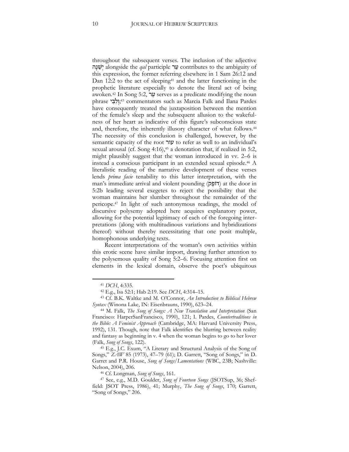throughout the subsequent verses. The inclusion of the adjective ה ָנ ֵשְׁי alongside the *qal* participle ר ֵע contributes to the ambiguity of this expression, the former referring elsewhere in 1 Sam 26:12 and Dan 12:2 to the act of sleeping<sup>41</sup> and the latter functioning in the prophetic literature especially to denote the literal act of being awoken.<sup>42</sup> In Song 5:2, ער serves as a predicate modifying the noun phrase יְיָלְבִּי: 23,43 commentators such as Marcia Falk and Ilana Pardes have consequently treated the juxtaposition between the mention of the female's sleep and the subsequent allusion to the wakefulness of her heart as indicative of this figure's subconscious state and, therefore, the inherently illusory character of what follows.<sup>44</sup> The necessity of this conclusion is challenged, however, by the semantic capacity of the root עור to refer as well to an individual's sexual arousal (cf. Song 4:16),<sup>45</sup> a denotation that, if realized in 5:2, might plausibly suggest that the woman introduced in vv. 2–6 is instead a conscious participant in an extended sexual episode.<sup>46</sup> A literalistic reading of the narrative development of these verses lends *prima facie* tenability to this latter interpretation, with the man's immediate arrival and violent pounding (דוֹפֵק) at the door in 5:2b leading several exegetes to reject the possibility that the woman maintains her slumber throughout the remainder of the pericope.<sup>47</sup> In light of such antonymous readings, the model of discursive polysemy adopted here acquires explanatory power, allowing for the potential legitimacy of each of the foregoing interpretations (along with multitudinous variations and hybridizations thereof) without thereby necessitating that one posit multiple, homophonous underlying texts.

Recent interpretations of the woman's own activities within this erotic scene have similar import, drawing further attention to the polysemous quality of Song 5:2–6. Focusing attention first on elements in the lexical domain, observe the poet's ubiquitous

<sup>41</sup> *DCH*, 4:335.

<sup>42</sup> E.g., Isa 52:1; Hab 2:19. See *DCH*, 4:314–15.

<sup>43</sup> Cf. B.K. Waltke and M. O'Connor, *An Introduction to Biblical Hebrew Syntax* (Winona Lake, IN: Eisenbrauns, 1990), 623–24.

<sup>44</sup> M. Falk, *The Song of Songs: A New Translation and Interpretation* (San Francisco: HarperSanFrancisco, 1990), 121; I. Pardes, *Countertraditions in the Bible: A Feminist Approach* (Cambridge, MA: Harvard University Press, 1992), 131. Though, note that Falk identifies the blurring between reality and fantasy as beginning in v. 4 when the woman begins to go to her lover (Falk, *Song of Songs*, 122).

<sup>45</sup> E.g., J.C. Exum, "A Literary and Structural Analysis of the Song of Songs," *ZAW* 85 (1973), 47–79 (61); D. Garrett, "Song of Songs," in D. Garret and P.R. House, *Song of Songs/Lamentations* (WBC, 23B; Nashville: Nelson, 2004), 206.

<sup>46</sup> Cf. Longman, *Song of Songs*, 161.

<sup>47</sup> See, e.g., M.D. Goulder, *Song of Fourteen Songs* (JSOTSup, 36; Sheffield: JSOT Press, 1986), 41; Murphy, *The Song of Songs*, 170; Garrett, "Song of Songs," 206.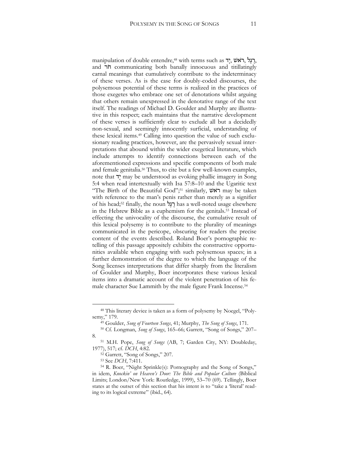manipulation of double entendre,<sup>48</sup> with terms such as  $\tau$ , ראש, and הֹר communicating both banally innocuous and titillatingly carnal meanings that cumulatively contribute to the indeterminacy of these verses. As is the case for doubly-coded discourses, the polysemous potential of these terms is realized in the practices of those exegetes who embrace one set of denotations whilst arguing that others remain unexpressed in the denotative range of the text itself. The readings of Michael D. Goulder and Murphy are illustrative in this respect; each maintains that the narrative development of these verses is sufficiently clear to exclude all but a decidedly non-sexual, and seemingly innocently surficial, understanding of these lexical items.<sup>49</sup> Calling into question the value of such exclusionary reading practices, however, are the pervasively sexual interpretations that abound within the wider exegetical literature, which include attempts to identify connections between each of the aforementioned expressions and specific components of both male and female genitalia.<sup>50</sup> Thus, to cite but a few well-known examples, note that דָי may be understood as evoking phallic imagery in Song 5:4 when read intertextually with Isa 57:8–10 and the Ugaritic text "The Birth of the Beautiful God";<sup>51</sup> similarly, ראשׂ may be taken with reference to the man's penis rather than merely as a signifier of his head;<sup>52</sup> finally, the noun לֶג ֶר has a well-noted usage elsewhere in the Hebrew Bible as a euphemism for the genitals.<sup>53</sup> Instead of effecting the univocality of the discourse, the cumulative result of this lexical polysemy is to contribute to the plurality of meanings communicated in the pericope, obscuring for readers the precise content of the events described. Roland Boer's pornographic retelling of this passage appositely exhibits the constructive opportunities available when engaging with such polysemous spaces; in a further demonstration of the degree to which the language of the Song licenses interpretations that differ sharply from the literalism of Goulder and Murphy, Boer incorporates these various lexical items into a dramatic account of the violent penetration of his female character Sue Lammith by the male figure Frank Incense.<sup>54</sup>

<sup>48</sup> This literary device is taken as a form of polysemy by Noegel, "Polysemy," 179.

<sup>49</sup> Goulder, *Song of Fourteen Songs*, 41; Murphy, *The Song of Songs*, 171.

<sup>50</sup> Cf. Longman, *Song of Songs*, 165–66; Garrett, "Song of Songs," 207– 8.

<sup>51</sup> M.H. Pope, *Song of Songs* (AB, 7; Garden City, NY: Doubleday, 1977), 517; cf. *DCH*, 4:82.

<sup>52</sup> Garrett, "Song of Songs," 207.

<sup>53</sup> See *DCH*, 7:411.

<sup>54</sup> R. Boer, "Night Sprinkle(s): Pornography and the Song of Songs," in idem, *Knockin' on Heaven's Door: The Bible and Popular Culture* (Biblical Limits; London/New York: Routledge, 1999), 53–70 (69). Tellingly, Boer states at the outset of this section that his intent is to "take a 'literal' reading to its logical extreme" (ibid., 64).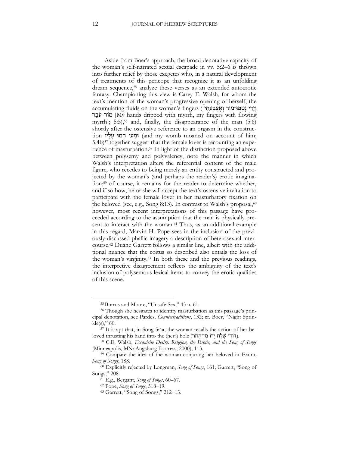Aside from Boer's approach, the broad denotative capacity of the woman's self-narrated sexual escapade in vv. 5:2–6 is thrown into further relief by those exegetes who, in a natural development of treatments of this pericope that recognize it as an unfolding dream sequence,<sup>55</sup> analyze these verses as an extended autoerotic fantasy. Championing this view is Carey E. Walsh, for whom the text's mention of the woman's progressive opening of herself, the accumulating fluids on the woman's fingers (יְיָדִי נָטְפוּ־מוֹר וְאֵצְבְעֹתֵי מוֹר עֹבֵר My hands dripped with myrrh, my fingers with flowing myrrh];  $5:5$ ,  $5<sup>6</sup>$  and, finally, the disappearance of the man  $(5:6)$ shortly after the ostensive reference to an orgasm in the construction וּמֱעַי הַמוּ עַלַיו (and my womb moaned on account of him; 5:4b)<sup>57</sup> together suggest that the female lover is recounting an experience of masturbation.<sup>58</sup> In light of the distinction proposed above between polysemy and polyvalency, note the manner in which Walsh's interpretation alters the referential content of the male figure, who recedes to being merely an entity constructed and projected by the woman's (and perhaps the reader's) erotic imagination;<sup>59</sup> of course, it remains for the reader to determine whether, and if so how, he or she will accept the text's ostensive invitation to participate with the female lover in her masturbatory fixation on the beloved (see, e.g., Song 8:13). In contrast to Walsh's proposal, $60$ however, most recent interpretations of this passage have proceeded according to the assumption that the man is physically present to interact with the woman.<sup>61</sup> Thus, as an additional example in this regard, Marvin H. Pope sees in the inclusion of the previously discussed phallic imagery a description of heterosexual intercourse.<sup>62</sup> Duane Garrett follows a similar line, albeit with the additional nuance that the coitus so described also entails the loss of the woman's virginity.<sup>63</sup> In both these and the previous readings, the interpretive disagreement reflects the ambiguity of the text's inclusion of polysemous lexical items to convey the erotic qualities of this scene.

<sup>55</sup> Burrus and Moore, "Unsafe Sex," 43 n. 61.

<sup>56</sup> Though she hesitates to identify masturbation as this passage's principal denotation, see Pardes, *Countertraditions*, 132; cf. Boer, "Night Sprinkle(s),"  $60$ .

<sup>57</sup> It is apt that, in Song 5:4a, the woman recalls the action of her beloved thrusting his hand into the (her?) hole (דּוֹדִי שַׁלַח יָדוֹ מִן־הַחֹר).

<sup>58</sup> C.E. Walsh, *Exquisite Desire: Religion, the Erotic, and the Song of Songs* (Minneapolis, MN: Augsburg Fortress, 2000), 113.

<sup>59</sup> Compare the idea of the woman conjuring her beloved in Exum, *Song of Songs*, 188.

<sup>60</sup> Explicitly rejected by Longman, *Song of Songs*, 161; Garrett, "Song of Songs," 208.

<sup>61</sup> E.g., Bergant, *Song of Songs*, 60–67.

<sup>62</sup> Pope, *Song of Songs*, 518–19.

<sup>63</sup> Garrett, "Song of Songs," 212–13.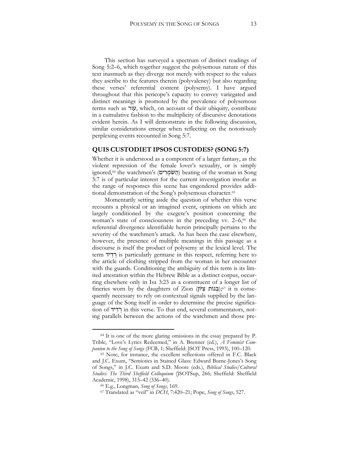This section has surveyed a spectrum of distinct readings of Song 5:2–6, which together suggest the polysemous nature of this text inasmuch as they diverge not merely with respect to the values they ascribe to the features therein (polyvalency) but also regarding these verses' referential content (polysemy). I have argued throughout that this pericope's capacity to convey variegated and distinct meanings is promoted by the prevalence of polysemous terms such as עור, which, on account of their ubiquity, contribute in a cumulative fashion to the multiplicity of discursive denotations evident herein. As I will demonstrate in the following discussion, similar considerations emerge when reflecting on the notoriously perplexing events recounted in Song 5:7.

#### **QUIS CUSTODIET IPSOS CUSTODES? (SONG 5:7)**

Whether it is understood as a component of a larger fantasy, as the violent repression of the female lover's sexuality, or is simply ignored,<sup>64</sup> the watchmen's (הַשּׁמְרִים) beating of the woman in Song 5:7 is of particular interest for the current investigation insofar as the range of responses this scene has engendered provides additional demonstration of the Song's polysemous character.<sup>65</sup>

Momentarily setting aside the question of whether this verse recounts a physical or an imagined event, opinions on which are largely conditioned by the exegete's position concerning the woman's state of consciousness in the preceding vv.  $2-6$ ,<sup>66</sup> the referential divergence identifiable herein principally pertains to the severity of the watchmen's attack. As has been the case elsewhere, however, the presence of multiple meanings in this passage as a discourse is itself the product of polysemy at the lexical level. The term יִ**דְיד** is particularly germane in this respect, referring here to the article of clothing stripped from the woman in her encounter with the guards. Conditioning the ambiguity of this term is its limited attestation within the Hebrew Bible as a distinct corpus, occurring elsewhere only in Isa 3:23 as a constituent of a longer list of fineries worn by the daughters of Zion (בְּנוֹת צְיוֹן);<sup>67</sup> it is consequently necessary to rely on contextual signals supplied by the language of the Song itself in order to determine the precise signification of יִדְיד in this verse. To that end, several commentators, noting parallels between the actions of the watchmen and those pre-

<sup>64</sup> It is one of the more glaring omissions in the essay prepared by P. Trible, "Love's Lyrics Redeemed," in A. Brenner (ed.), *A Feminist Companion to the Song of Songs* (FCB, 1; Sheffield: JSOT Press, 1993), 100–120.

<sup>65</sup> Note, for instance, the excellent reflections offered in F.C. Black and J.C. Exum, "Semiotics in Stained Glass: Edward Burne-Jones's Song of Songs," in J.C. Exum and S.D. Moore (eds.), *Biblical Studies/Cultural Studies: The Third Sheffield Colloquium* (JSOTSup, 266; Sheffield: Sheffield Academic, 1998), 315–42 (336–40).

<sup>66</sup> E.g., Longman, *Song of Songs*, 169.

<sup>67</sup> Translated as "veil" in *DCH*, 7:420–21; Pope, *Song of Songs*, 527.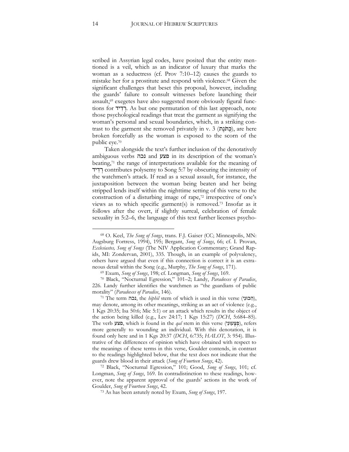scribed in Assyrian legal codes, have posited that the entity mentioned is a veil, which as an indicator of luxury that marks the woman as a seductress (cf. Prov 7:10–12) causes the guards to mistake her for a prostitute and respond with violence.<sup>68</sup> Given the significant challenges that beset this proposal, however, including the guards' failure to consult witnesses before launching their assault,<sup>69</sup> exegetes have also suggested more obviously figural functions for יִדְי those psychological readings that treat the garment as signifying the woman's personal and sexual boundaries, which, in a striking contrast to the garment she removed privately in v. 3 (בְּתוֹנָת), are here broken forcefully as the woman is exposed to the scorn of the public eye.<sup>70</sup>

Taken alongside the text's further inclusion of the denotatively ambiguous verbs נכה and פצע in its description of the woman's beating,<sup>71</sup> the range of interpretations available for the meaning of יד ִד ְר contributes polysemy to Song 5:7 by obscuring the intensity of the watchmen's attack. If read as a sexual assault, for instance, the juxtaposition between the woman being beaten and her being stripped lends itself within the nighttime setting of this verse to the construction of a disturbing image of rape,<sup>72</sup> irrespective of one's views as to which specific garment(s) is removed.<sup>73</sup> Insofar as it follows after the overt, if slightly surreal, celebration of female sexuality in 5:2–6, the language of this text further licenses psycho-

<sup>72</sup> Black, "Nocturnal Egression," 101; Good, *Song of Songs*, 101; cf. Longman, *Song of Songs*, 169. In contradistinction to these readings, however, note the apparent approval of the guards' actions in the work of Goulder, *Song of Fourteen Songs*, 42.

<sup>68</sup> O. Keel, *The Song of Songs*, trans. F.J. Gaiser (CC; Minneapolis, MN: Augsburg Fortress, 1994), 195; Bergant, *Song of Songs*, 66; cf. I. Provan, *Ecclesiastes, Song of Songs* (The NIV Application Commentary; Grand Rapids, MI: Zondervan, 2001), 335. Though, in an example of polyvalency, others have argued that even if this connection is correct it is an extraneous detail within the Song (e.g., Murphy, *The Song of Songs*, 171).

<sup>69</sup> Exum, *Song of Songs*, 198; cf. Longman, *Song of Songs*, 169.

<sup>70</sup> Black, "Nocturnal Egression," 101–2; Landy, *Paradoxes of Paradise*, 226. Landy further identifies the watchmen as "the guardians of public morality" (*Paradoxes of Paradise*, 146).

<sup>71</sup> The term נכה, the *hiphil* stem of which is used in this verse (יִכּוּנ ִה(, may denote, among its other meanings, striking as an act of violence (e.g., 1 Kgs 20:35; Isa 50:6; Mic 5:1) or an attack which results in the object of the action being killed (e.g., Lev 24:17; 1 Kgs 15:27) (*DCH*, 5:684–85). The verb פצע, which is found in the *qal* stem in this verse (פִצְעוּנִי), refers more generally to wounding an individual. With this denotation, it is found only here and in 1 Kgs 20:37 (*DCH*, 6:735; *HALOT*, 3: 954). Illustrative of the differences of opinion which have obtained with respect to the meanings of these terms in this verse, Goulder contends, in contrast to the readings highlighted below, that the text does not indicate that the guards drew blood in their attack (*Song of Fourteen Songs*, 42).

<sup>73</sup> As has been astutely noted by Exum, *Song of Songs*, 197.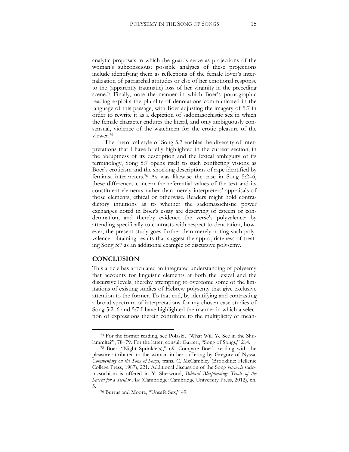analytic proposals in which the guards serve as projections of the woman's subconscious; possible analyses of these projections include identifying them as reflections of the female lover's internalization of patriarchal attitudes or else of her emotional response to the (apparently traumatic) loss of her virginity in the preceding scene.<sup>74</sup> Finally, note the manner in which Boer's pornographic reading exploits the plurality of denotations communicated in the language of this passage, with Boer adjusting the imagery of 5:7 in order to rewrite it as a depiction of sadomasochistic sex in which the female character endures the literal, and only ambiguously consensual, violence of the watchmen for the erotic pleasure of the viewer.<sup>75</sup>

The rhetorical style of Song 5:7 enables the diversity of interpretations that I have briefly highlighted in the current section; in the abruptness of its description and the lexical ambiguity of its terminology, Song 5:7 opens itself to such conflicting visions as Boer's eroticism and the shocking descriptions of rape identified by feminist interpreters.<sup>76</sup> As was likewise the case in Song 5:2–6, these differences concern the referential values of the text and its constituent elements rather than merely interpreters' appraisals of those elements, ethical or otherwise. Readers might hold contradictory intuitions as to whether the sadomasochistic power exchanges noted in Boer's essay are deserving of esteem or condemnation, and thereby evidence the verse's polyvalence; by attending specifically to contrasts with respect to denotation, however, the present study goes further than merely noting such polyvalence, obtaining results that suggest the appropriateness of treating Song 5:7 as an additional example of discursive polysemy.

#### **CONCLUSION**

 $\overline{a}$ 

This article has articulated an integrated understanding of polysemy that accounts for linguistic elements at both the lexical and the discursive levels, thereby attempting to overcome some of the limitations of existing studies of Hebrew polysemy that give exclusive attention to the former. To that end, by identifying and contrasting a broad spectrum of interpretations for my chosen case studies of Song 5:2–6 and 5:7 I have highlighted the manner in which a selection of expressions therein contribute to the multiplicity of mean-

<sup>74</sup> For the former reading, see Polaski, "What Will Ye See in the Shulammite?", 78–79. For the latter, consult Garrett, "Song of Songs," 214.

<sup>75</sup> Boer, "Night Sprinkle(s)," 69. Compare Boer's reading with the pleasure attributed to the woman in her suffering by Gregory of Nyssa, *Commentary on the Song of Songs*, trans. C. McCambley (Brookline: Hellenic College Press, 1987), 221. Additional discussion of the Song *vis-à-vis* sadomasochism is offered in Y. Sherwood, *Biblical Blaspheming: Trials of the Sacred for a Secular Age* (Cambridge: Cambridge University Press, 2012), ch. 5.

<sup>76</sup> Burrus and Moore, "Unsafe Sex," 49.